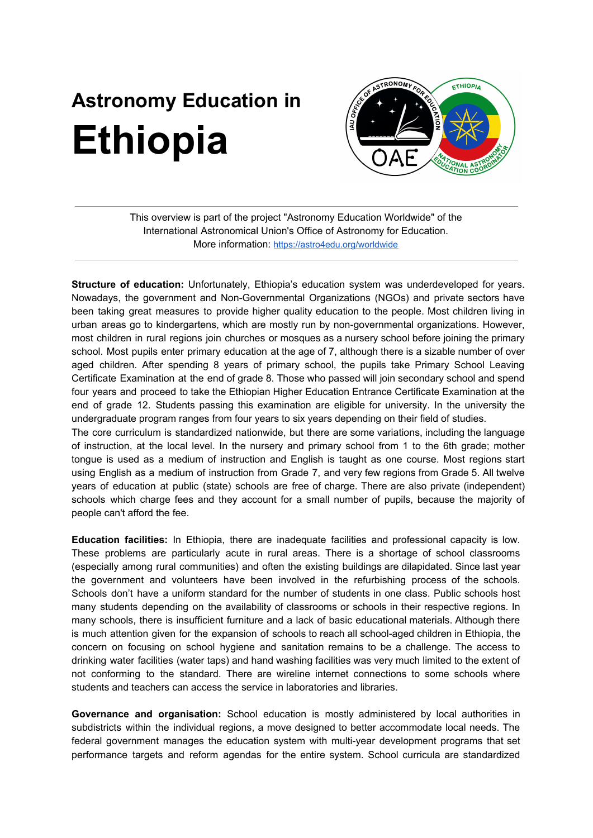## **Astronomy Education in Ethiopia**



This overview is part of the project "Astronomy Education Worldwide" of the International Astronomical Union's Office of Astronomy for Education. More information: <https://astro4edu.org/worldwide>

**Structure of education:** Unfortunately, Ethiopia's education system was underdeveloped for years. Nowadays, the government and Non-Governmental Organizations (NGOs) and private sectors have been taking great measures to provide higher quality education to the people. Most children living in urban areas go to kindergartens, which are mostly run by non-governmental organizations. However, most children in rural regions join churches or mosques as a nursery school before joining the primary school. Most pupils enter primary education at the age of 7, although there is a sizable number of over aged children. After spending 8 years of primary school, the pupils take Primary School Leaving Certificate Examination at the end of grade 8. Those who passed will join secondary school and spend four years and proceed to take the Ethiopian Higher Education Entrance Certificate Examination at the end of grade 12. Students passing this examination are eligible for university. In the university the undergraduate program ranges from four years to six years depending on their field of studies.

The core curriculum is standardized nationwide, but there are some variations, including the language of instruction, at the local level. In the nursery and primary school from 1 to the 6th grade; mother tongue is used as a medium of instruction and English is taught as one course. Most regions start using English as a medium of instruction from Grade 7, and very few regions from Grade 5. All twelve years of education at public (state) schools are free of charge. There are also private (independent) schools which charge fees and they account for a small number of pupils, because the majority of people can't afford the fee.

**Education facilities:** In Ethiopia, there are inadequate facilities and professional capacity is low. These problems are particularly acute in rural areas. There is a shortage of school classrooms (especially among rural communities) and often the existing buildings are dilapidated. Since last year the government and volunteers have been involved in the refurbishing process of the schools. Schools don't have a uniform standard for the number of students in one class. Public schools host many students depending on the availability of classrooms or schools in their respective regions. In many schools, there is insufficient furniture and a lack of basic educational materials. Although there is much attention given for the expansion of schools to reach all school-aged children in Ethiopia, the concern on focusing on school hygiene and sanitation remains to be a challenge. The access to drinking water facilities (water taps) and hand washing facilities was very much limited to the extent of not conforming to the standard. There are wireline internet connections to some schools where students and teachers can access the service in laboratories and libraries.

**Governance and organisation:** School education is mostly administered by local authorities in subdistricts within the individual regions, a move designed to better accommodate local needs. The federal government manages the education system with multi-year development programs that set performance targets and reform agendas for the entire system. School curricula are standardized